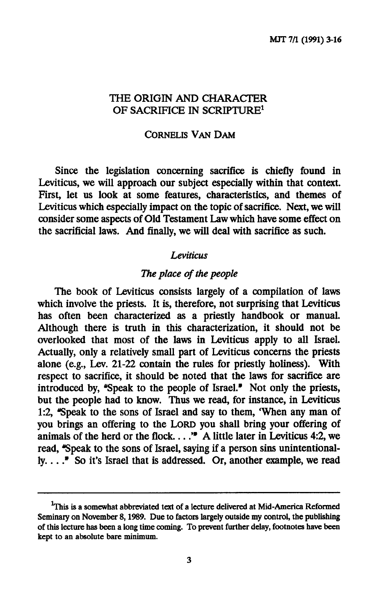### **THE ORIGIN AND CHARACTER OF SACRIFICE IN SCRIPTURE<sup>1</sup>**

#### **CORNELIS VAN DAM**

**Since the legislation concerning sacrifice is chiefly found in Leviticus, we will approach our subject especially within that context. First, let us look at some features, characteristics, and themes of Leviticus which especially impact on the topic of sacrifice. Next, we will consider some aspects of Old Testament Law which have some effect on the sacrificial laws. And finally, we will deal with sacrifice as such.** 

#### *Leviticus*

# *The place of the people*

**The book of Leviticus consists largely of a compilation of laws which involve the priests. It is, therefore, not surprising that Leviticus has often been characterized as a priestly handbook or manual. Although there is truth in this characterization, it should not be overlooked that most of the laws in Leviticus apply to all Israel. Actually, only a relatively small part of Leviticus concerns the priests alone (e.g., Lev. 21-22 contain the rules for priestly holiness). With respect to sacrifice, it should be noted that the laws for sacrifice are**  introduced by, "Speak to the people of Israel." Not only the priests, **but the people had to know. Thus we read, for instance, in Leviticus 1:2, "Speak to the sons of Israel and say to them, 'When any man of you brings an offering to the LORD you shall bring your offering of animals of the herd or the flock** *™* **A little later in Leviticus 4:2, we read, "Speak to the sons of Israel, saying if a person sins unintentional**ly. . . . " So it's Israel that is addressed. Or, another example, we read

<sup>&</sup>lt;sup>1</sup>This is a somewhat abbreviated text of a lecture delivered at Mid-America Reformed **Seminary on November 8,1989. Due to factors largely outside my control, the publishing of this lecture has been a long time coming. To prevent further delay, footnotes have been kept to an absolute bare minimum.**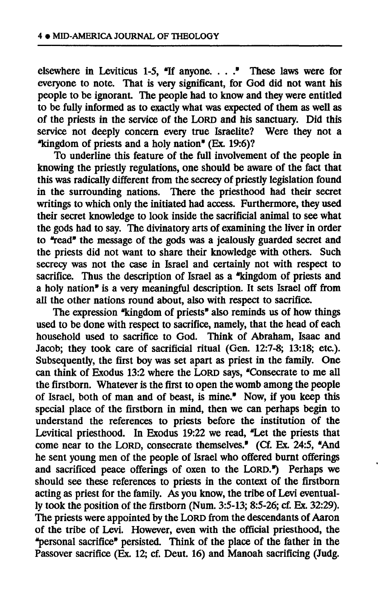**elsewhere in Leviticus 1-5, "If anyone. . . ." These laws were for everyone to note. That is very significant, for God did not want his people to be ignorant. The people had to know and they were entitled to be fully informed as to exactly what was expected of them as well as of the priests in the service of the LORD and his sanctuary. Did this service not deeply concern every true Israelite? Were they not a "kingdom of priests and a holy nation" (Ex. 19:6)?** 

**To underline this feature of the full involvement of the people in knowing the priestly regulations, one should be aware of the fact that this was radically different from the secrecy of priestly legislation found in the surrounding nations. There the priesthood had their secret writings to which only the initiated had access. Furthermore, they used their secret knowledge to look inside the sacrificial animal to see what the gods had to say. The divinatory arts of examining the liver in order to "read" the message of the gods was a jealously guarded secret and the priests did not want to share their knowledge with others. Such secrecy was not the case in Israel and certainly not with respect to sacrifice. Thus the description of Israel as a "kingdom of priests and a holy nation" is a very meaningful description. It sets Israel off from all the other nations round about, also with respect to sacrifice.** 

**The expression "kingdom of priests" also reminds us of how things used to be done with respect to sacrifice, namely, that the head of each household used to sacrifice to God. Think of Abraham, Isaac and Jacob; they took care of sacrificial ritual (Gen. 12:7-8; 13:18; etc.). Subsequently, the first boy was set apart as priest in the family. One can think of Exodus 13:2 where the LORD says, "Consecrate to me all the firstborn. Whatever is the first to open the womb among the people of Israel, both of man and of beast, is mine." Now, if you keep this special place of the firstborn in mind, then we can perhaps begin to understand the references to priests before the institution of the Levitical priesthood. In Exodus 19:22 we read, "Let the priests that come near to the LORD, consecrate themselves." (Cf. Ex. 24:5, "And he sent young men of the people of Israel who offered burnt offerings and sacrificed peace offerings of oxen to the LORD.") Perhaps we should see these references to priests in the context of the firstborn acting as priest for the family. As you know, the tribe of Levi eventually took the position of the firstborn (Num. 3:5-13; 8:5-26; cf. Ex. 32:29). The priests were appointed by the LORD from the descendants of Aaron of the tribe of Levi. However, even with the official priesthood, the "personal sacrifice" persisted. Think of the place of the father in the Passover sacrifice (Ex. 12; cf. Deut. 16) and Manoah sacrificing (Judg.**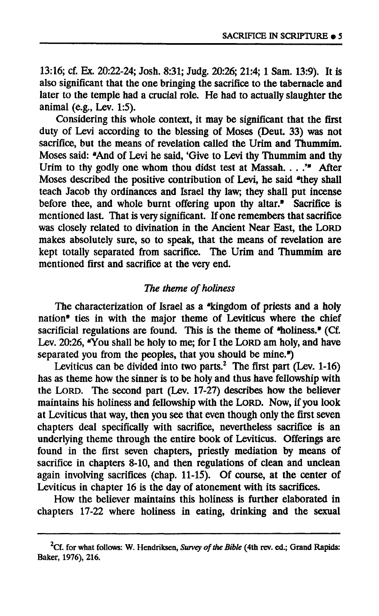**13:16; cf. Ex. 20:22-24; Josh. 8:31; Judg. 20:26; 21:4; 1 Sam. 13:9). It is also significant that the one bringing the sacrifice to the tabernacle and later to the temple had a crucial role. He had to actually slaughter the animal (e.g., Lev. 1:5).** 

**Considering this whole context, it may be significant that the first duty of Levi according to the blessing of Moses (Deut. 33) was not**  sacrifice, but the means of revelation called the Urim and Thummim. Moses said: "And of Levi he said, 'Give to Levi thy Thummim and thy **Urim to thy godly one whom thou didst test at Massah. . . .'" After Moses described the positive contribution of Levi, he said "they shall teach Jacob thy ordinances and Israel thy law; they shall put incense before thee, and whole burnt offering upon thy altar." Sacrifice is mentioned last. That is very significant. If one remembers that sacrifice was closely related to divination in the Ancient Near East, the LORD makes absolutely sure, so to speak, that the means of revelation are kept totally separated from sacrifice. The Urim and Thummim are mentioned first and sacrifice at the very end.** 

# *The theme of holiness*

**The characterization of Israel as a "kingdom of priests and a holy nation" ties in with the major theme of Leviticus where the chief sacrificial regulations are found. This is the theme of "holiness." (Cf. Lev. 20:26, "You shall be holy to me; for I the LORD am holy, and have separated you from the peoples, that you should be mine.")** 

**Leviticus can be divided into two parts.<sup>2</sup> The first part (Lev. 1-16) has as theme how the sinner is to be holy and thus have fellowship with the LORD. The second part (Lev. 17-27) describes how the believer maintains his holiness and fellowship with the LORD. NOW, if you look at Leviticus that way, then you see that even though only the first seven chapters deal specifically with sacrifice, nevertheless sacrifice is an underlying theme through the entire book of Leviticus. Offerings are found in the first seven chapters, priestly mediation by means of sacrifice in chapters 8-10, and then regulations of clean and unclean again involving sacrifices (chap. 11-15). Of course, at the center of Leviticus in chapter 16 is the day of atonement with its sacrifices.** 

**How the believer maintains this holiness is further elaborated in chapters 17-22 where holiness in eating, drinking and the sexual** 

**Cf. for what follows: W. Hendriksen,** *Survey of the Bible* **(4th rev. ed.; Grand Rapids: Baker, 1976), 216.**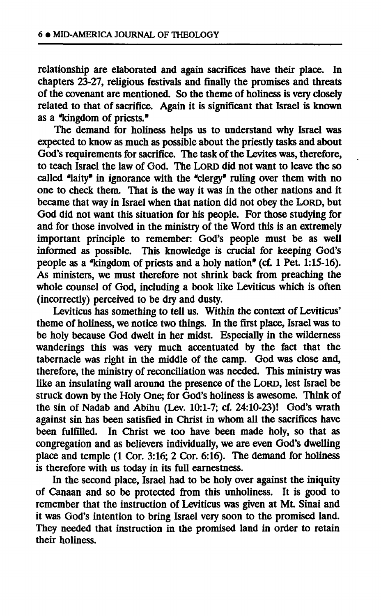**relationship are elaborated and again sacrifices have their place. In chapters 23-27, religious festivals and finally the promises and threats of the covenant are mentioned. So the theme of holiness is very closely related to that of sacrifice. Again it is significant that Israel is known as a "kingdom of priests."** 

**The demand for holiness helps us to understand why Israel was expected to know as much as possible about the priestly tasks and about God's requirements for sacrifice. The task of the Lévites was, therefore, to teach Israel the law of God. The LORD did not want to leave the so called "laity" in ignorance with the "clergy\* ruling over them with no one to check them. That is the way it was in the other nations and it became that way in Israel when that nation did not obey the LORD, but God did not want this situation for his people. For those studying for and for those involved in the ministry of the Word this is an extremely important principle to remember: God's people must be as well informed as possible. This knowledge is crucial for keeping God's people as a "kingdom of priests and a holy nation" (cf. 1 Pet. 1:15-16). As ministers, we must therefore not shrink back from preaching the whole counsel of God, including a book like Leviticus which is often (incorrectly) perceived to be dry and dusty.** 

**Leviticus has something to tell us. Within the context of Leviticus' theme of holiness, we notice two things. In the first place, Israel was to be holy because God dwelt in her midst. Especially in the wilderness**  wanderings this was very much accentuated by the fact that the **tabernacle was right in the middle of the camp. God was close and, therefore, the ministry of reconciliation was needed. This ministry was like an insulating wall around the presence of the LORD, lest Israel be struck down by the Holy One; for God's holiness is awesome. Think of the sin of Nadab and Abihu (Lev. 10:1-7; cf. 24:10-23)! God's wrath against sin has been satisfied in Christ in whom all the sacrifices have been fulfilled. In Christ we too have been made holy, so that as congregation and as believers individually, we are even God's dwelling place and temple (1 Cor. 3:16; 2 Cor. 6:16). The demand for holiness is therefore with us today in its full earnestness.** 

**In the second place, Israel had to be holy over against the iniquity of Canaan and so be protected from this unholiness. It is good to remember that the instruction of Leviticus was given at Mt. Sinai and it was God's intention to bring Israel very soon to the promised land. They needed that instruction in the promised land in order to retain their holiness.**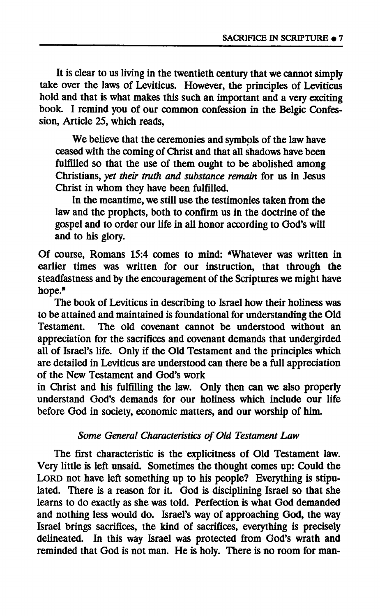**It is clear to us living in the twentieth century that we cannot simply take over the laws of Leviticus. However, the principles of Leviticus hold and that is what makes this such an important and a very exciting book. I remind you of our common confession in the Belgic Confession, Article 25, which reads,** 

**We believe that the ceremonies and symbols of the law have ceased with the coming of Christ and that all shadows have been fulfilled so that the use of them ought to be abolished among Christians,** *yet their truth and substance remain* **for us in Jesus Christ in whom they have been fulfilled.** 

**In the meantime, we still use the testimonies taken from the law and the prophets, both to confirm us in the doctrine of the gospel and to order our life in all honor according to God's will and to his glory.** 

**Of course, Romans 15:4 comes to mind: "Whatever was written in earlier times was written for our instruction, that through the steadfastness and by the encouragement of the Scriptures we might have hope."** 

**The book of Leviticus in describing to Israel how their holiness was to be attained and maintained is foundational for understanding the Old Testament. The old covenant cannot be understood without an appreciation for the sacrifices and covenant demands that undergirded all of Israel's life. Only if the Old Testament and the principles which are detailed in Leviticus are understood can there be a full appreciation of the New Testament and God's work** 

**in Christ and his fulfilling the law. Only then can we also properly understand God's demands for our holiness which include our life before God in society, economic matters, and our worship of him.** 

# *Some General Characteristics of Old Testament Law*

**The first characteristic is the explicitness of Old Testament law. Very little is left unsaid. Sometimes the thought comes up: Could the**  LORD not have left something up to his people? Everything is stipu**lated. There is a reason for it. God is disciplining Israel so that she learns to do exactly as she was told. Perfection is what God demanded and nothing less would do. Israel's way of approaching God, the way Israel brings sacrifices, the kind of sacrifices, everything is precisely delineated. In this way Israel was protected from God's wrath and reminded that God is not man. He is holy. There is no room for man-**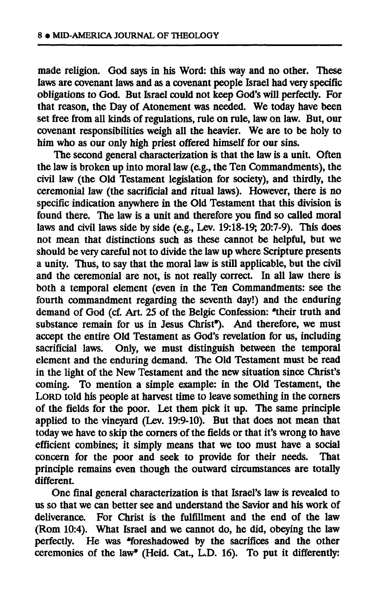**made religion. God says in his Word: this way and no other. These laws are covenant laws and as a covenant people Israel had very specific obligations to God. But Israel could not keep God's will perfectly. For that reason, the Day of Atonement was needed. We today have been set free from all kinds of regulations, rule on rule, law on law. But, our covenant responsibilities weigh all the heavier. We are to be holy to him who as our only high priest offered himself for our sins.** 

**The second general characterization is that the law is a unit. Often the law is broken up into moral law (e.g., the Ten Commandments), the civil law (the Old Testament legislation for society), and thirdly, the ceremonial law (the sacrificial and ritual laws). However, there is no specific indication anywhere in the Old Testament that this division is found there. The law is a unit and therefore you find so called moral laws and civil laws side by side (e.g., Lev. 19:18-19; 20:7-9). This does not mean that distinctions such as these cannot be helpful, but we should be very careful not to divide the law up where Scripture presents a unity. Thus, to say that the moral law is still applicable, but the civil**  and the ceremonial are not, is not really correct. In all law there is **both a temporal element (even in the Ten Commandments: see the fourth commandment regarding the seventh day!) and the enduring demand of God (cf. Art. 25 of the Belgic Confession: "their truth and**  substance remain for us in Jesus Christ<sup>®</sup>). And therefore, we must **accept the entire Old Testament as God's revelation for us, including sacrificial laws. Only, we must distinguish between the temporal element and the enduring demand. The Old Testament must be read in the light of the New Testament and the new situation since Christ's coming. To mention a simple example: in the Old Testament, the**  LORD told his people at harvest time to leave something in the corners **of the fields for the poor. Let them pick it up. The same principle applied to the vineyard (Lev. 19:9-10). But that does not mean that today we have to skip the corners of the fields or that it's wrong to have efficient combines; it simply means that we too must have a social concern for the poor and seek to provide for their needs. That principle remains even though the outward circumstances are totally different.** 

**One final general characterization is that Israel's law is revealed to us so that we can better see and understand the Savior and his work of deliverance. For Christ is the fulfillment and the end of the law (Rom 10:4). What Israel and we cannot do, he did, obeying the law perfectly. He was "foreshadowed by the sacrifices and the other ceremonies of the law" (Heid. Cat., L.D. 16). To put it differently:**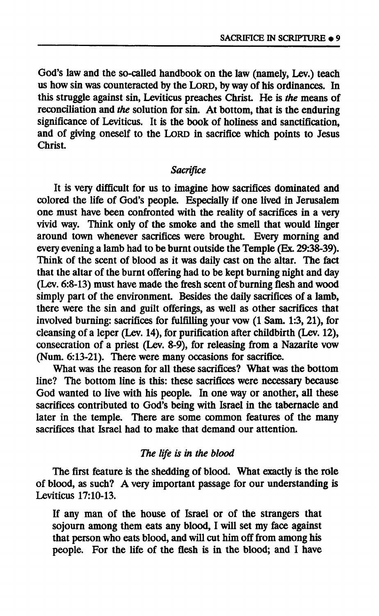**God's law and the so-called handbook on the law (namely, Lev.) teach us how sin was counteracted by the LORD, by way of his ordinances. In this struggle against sin, Leviticus preaches Christ. He is** *the* **means of reconciliation and** *the* **solution for sin. At bottom, that is the enduring significance of Leviticus. It is the book of holiness and sanctification, and of giving oneself to the LORD in sacrifice which points to Jesus Christ.** 

### *Sacrifice*

**It is very difficult for us to imagine how sacrifices dominated and colored the life of God's people. Especially if one lived in Jerusalem one must have been confronted with the reality of sacrifices in a very vivid way. Think only of the smoke and the smell that would linger around town whenever sacrifices were brought. Every morning and every evening a lamb had to be burnt outside the Temple (Ex. 29:38-39). Think of the scent of blood as it was daily cast on the altar. The fact that the altar of the burnt offering had to be kept burning night and day (Lev. 6:8-13) must have made the fresh scent of burning flesh and wood simply part of the environment. Besides the daily sacrifices of a lamb, there were the sin and guilt offerings, as well as other sacrifices that involved burning: sacrifices for fulfilling your vow (1 Sam. 1:3, 21), for cleansing of a leper (Lev. 14), for purification after childbirth (Lev. 12), consecration of a priest (Lev. 8-9), for releasing from a Nazarite vow (Num. 6:13-21). There were many occasions for sacrifice.** 

**What was the reason for all these sacrifices? What was the bottom line? The bottom line is this: these sacrifices were necessary because God wanted to live with his people. In one way or another, all these sacrifices contributed to God's being with Israel in the tabernacle and later in the temple. There are some common features of the many sacrifices that Israel had to make that demand our attention.** 

#### *The life is in the blood*

**The first feature is the shedding of blood. What exactly is the role of blood, as such? A very important passage for our understanding is Leviticus 17:10-13.** 

**If any man of the house of Israel or of the strangers that sojourn among them eats any blood, I will set my face against that person who eats blood, and will cut him off from among his people. For the life of the flesh is in the blood; and I have**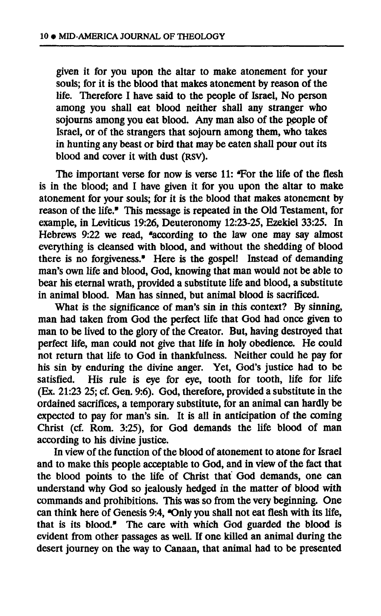**given it for you upon the altar to make atonement for your souls; for it is the blood that makes atonement by reason of the life. Therefore I have said to the people of Israel, No person among you shall eat blood neither shall any stranger who sojourns among you eat blood. Any man also of the people of Israel, or of the strangers that sojourn among them, who takes in hunting any beast or bird that may be eaten shall pour out its blood and cover it with dust (RSV).** 

**The important verse for now is verse 11: "For the life of the flesh is in the blood; and I have given it for you upon the altar to make atonement for your souls; for it is the blood that makes atonement by reason of the life." This message is repeated in the Old Testament, for example, in Leviticus 19:26, Deuteronomy 12:23-25, Ezekiel 33:25. In Hebrews 9:22 we read, "according to the law one may say almost everything is cleansed with blood, and without the shedding of blood there is no forgiveness." Here is the gospel! Instead of demanding man's own life and blood, God, knowing that man would not be able to bear his eternal wrath, provided a substitute life and blood, a substitute in animal blood. Man has sinned, but animal blood is sacrificed.** 

**What is the significance of man's sin in this context? By sinning, man had taken from God the perfect life that God had once given to man to be lived to the glory of the Creator. But, having destroyed that perfect life, man could not give that life in holy obedience. He could not return that life to God in thankfulness. Neither could he pay for his sin by enduring the divine anger. Yet, God's justice had to be**  satisfied. His rule is eye for eye, tooth for tooth, life for life **(Ex. 21:23 25; cf. Gen. 9:6). God, therefore, provided a substitute in the ordained sacrifices, a temporary substitute, for an animal can hardly be expected to pay for man's sin. It is all in anticipation of the coming Christ (cf. Rom. 3:25), for God demands the life blood of man according to his divine justice.** 

**In view of the function of the blood of atonement to atone for Israel and to make this people acceptable to God, and in view of the fact that the blood points to the life of Christ that God demands, one can understand why God so jealously hedged in the matter of blood with commands and prohibitions. This was so from the very beginning. One**  can think here of Genesis 9:4, "Only you shall not eat flesh with its life, **that is its blood.\* The care with which God guarded the blood is evident from other passages as well. If one killed an animal during the desert journey on the way to Canaan, that animal had to be presented**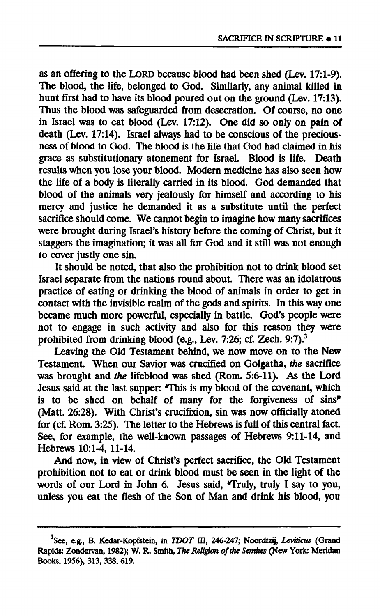**as an offering to the LORD because blood had been shed (Lev. 17:1-9). The blood, the life, belonged to God. Similarly, any animal killed in hunt first had to have its blood poured out on the ground (Lev. 17:13). Thus the blood was safeguarded from desecration. Of course, no one in Israel was to eat blood (Lev. 17:12). One did so only on pain of death (Lev. 17:14). Israel always had to be conscious of the preciousness of blood to God. The blood is the life that God had claimed in his grace as substitutionary atonement for Israel. Blood is life. Death results when you lose your blood. Modern medicine has also seen how the life of a body is literally carried in its blood. God demanded that blood of the animals very jealously for himself and according to his mercy and justice he demanded it as a substitute until the perfect sacrifice should come. We cannot begin to imagine how many sacrifices were brought during Israel's history before the coming of Christ, but it staggers the imagination; it was all for God and it still was not enough to cover justly one sin.** 

**It should be noted, that also the prohibition not to drink blood set Israel separate from the nations round about. There was an idolatrous practice of eating or drinking the blood of animals in order to get in contact with the invisible realm of the gods and spirits. In this way one became much more powerful, especially in battle. God's people were not to engage in such activity and also for this reason they were prohibited from drinking blood (e.g., Lev. 7:26; cf. Zech. 9:7).<sup>3</sup>**

**Leaving the Old Testament behind, we now move on to the New Testament. When our Savior was crucified on Golgatha,** *the* **sacrifice was brought and** *the* **lifeblood was shed (Rom. 5:6-11). As the Lord Jesus said at the last supper: This is my blood of the covenant, which is to be shed on behalf of many for the forgiveness of sins" (Matt. 26:28). With Christ's crucifixion, sin was now officially atoned for (cf. Rom. 3:25). The letter to the Hebrews is full of this central fact. See, for example, the well-known passages of Hebrews 9:11-14, and Hebrews 10:1-4, 11-14.** 

**And now, in view of Christ's perfect sacrifice, the Old Testament prohibition not to eat or drink blood must be seen in the light of the**  words of our Lord in John 6. Jesus said, "Truly, truly I say to you, **unless you eat the flesh of the Son of Man and drink his blood, you** 

**<sup>3</sup> See, e.g., B. Kedar-Kopfetein, in** *TDOT* **III, 246-247; Noordtzij,** *Leviticus* **(Grand Rapids: Zondervan, 1982); W. R. Smith,** *The Religion of the Semites* **(New York: Meridan Books, 1956), 313, 338, 619.**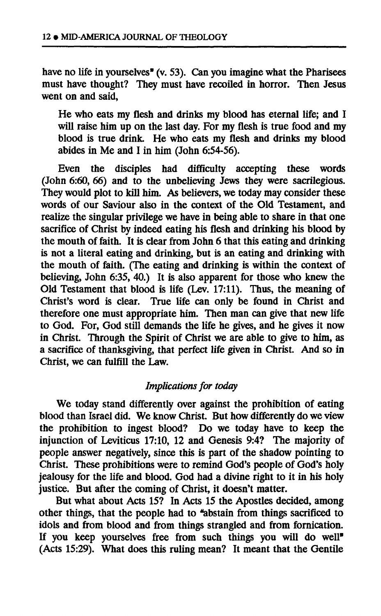**have no life in yourselves" (v. 53). Can you imagine what the Pharisees must have thought? They must have recoiled in horror. Then Jesus went on and said,** 

**He who eats my flesh and drinks my blood has eternal life; and I will raise him up on the last day. For my flesh is true food and my blood is true drink. He who eats my flesh and drinks my blood abides in Me and I in him (John 6:54-56).** 

**Even the disciples had difficulty accepting these words (John 6:60, 66) and to the unbelieving Jews they were sacrilegious. They would plot to kill him. As believers, we today may consider these words of our Saviour also in the context of the Old Testament, and realize the singular privilege we have in being able to share in that one sacrifice of Christ by indeed eating his flesh and drinking his blood by the mouth of faith. It is clear from John 6 that this eating and drinking is not a literal eating and drinking, but is an eating and drinking with the mouth of faith. (The eating and drinking is within the context of believing, John 6:35, 40.) It is also apparent for those who knew the Old Testament that blood is life (Lev. 17:11). Thus, the meaning of Christ's word is clear. True life can only be found in Christ and therefore one must appropriate him. Then man can give that new life to God. For, God still demands the life he gives, and he gives it now in Christ. Through the Spirit of Christ we are able to give to him, as a sacrifice of thanksgiving, that perfect life given in Christ. And so in Christ, we can fulfill the Law.** 

### *Implications for today*

**We today stand differently over against the prohibition of eating blood than Israel did. We know Christ. But how differently do we view the prohibition to ingest blood? Do we today have to keep the injunction of Leviticus 17:10, 12 and Genesis 9:4? The majority of people answer negatively, since this is part of the shadow pointing to Christ. These prohibitions were to remind God's people of God's holy jealousy for the life and blood. God had a divine right to it in his holy justice. But after the coming of Christ, it doesn't matter.** 

**But what about Acts 15? In Acts 15 the Apostles decided, among**  other things, that the people had to "abstain from things sacrificed to **idols and from blood and from things strangled and from fornication. If you keep yourselves free from such things you will do well" (Acts 15:29). What does this ruling mean? It meant that the Gentile**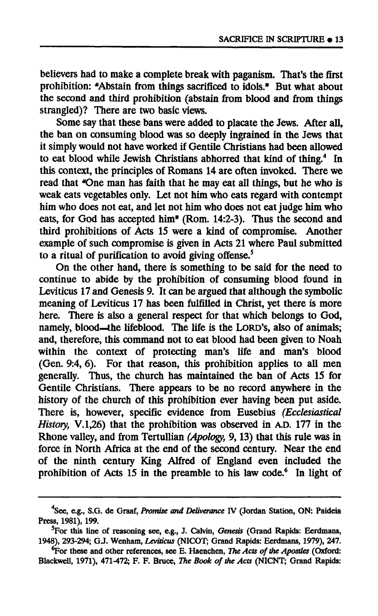**believers had to make a complete break with paganism. That's the first prohibition: "Abstain from things sacrificed to idols." But what about the second and third prohibition (abstain from blood and from things strangled)? There are two basic views.** 

**Some say that these bans were added to placate the Jews. After all, the ban on consuming blood was so deeply ingrained in the Jews that it simply would not have worked if Gentile Christians had been allowed to eat blood while Jewish Christians abhorred that kind of thing.<sup>4</sup> In this context, the principles of Romans 14 are often invoked. There we**  read that "One man has faith that he may eat all things, but he who is **weak eats vegetables only. Let not him who eats regard with contempt him who does not eat, and let not him who does not eat judge him who eats, for God has accepted him\* (Rom. 14:2-3). Thus the second and third prohibitions of Acts 15 were a kind of compromise. Another example of such compromise is given in Acts 21 where Paul submitted to a ritual of purification to avoid giving offense.<sup>5</sup>**

**On the other hand, there is something to be said for the need to continue to abide by the prohibition of consuming blood found in Leviticus 17 and Genesis 9. It can be argued that although the symbolic meaning of Leviticus 17 has been fulfilled in Christ, yet there is more here. There is also a general respect for that which belongs to God, namely, blood—the lifeblood. The life is the LORD'S, also of animals; and, therefore, this command not to eat blood had been given to Noah within the context of protecting man's life and man's blood (Gen. 9:4, 6). For that reason, this prohibition applies to all men generally. Thus, the church has maintained the ban of Acts 15 for Gentile Christians. There appears to be no record anywhere in the history of the church of this prohibition ever having been put aside. There is, however, specific evidence from Eusebius** *(Ecclesiastical History,* **V.1,26) that the prohibition was observed in A.D. 177 in the Rhone valley, and from Tertullian** *(Apology,* **9,13) that this rule was in force in North Africa at the end of the second century. Near the end of the ninth century King Alfred of England even included the prohibition of Acts 15 in the preamble to his law code.<sup>6</sup> In light of** 

**See, e.g., S.G. de Graaf,** *Promise and Deliverance* **IV (Jordan Station, ON: Paideia Press, 1981), 199.** 

**<sup>5</sup>For this line of reasoning see, e.g., J. Calvin,** *Genesis* **(Grand Rapids: Eerdmans, 1948), 293-294; G.J. Wenham,** *Leviticus* **(NICOT; Grand Rapids: Eerdmans, 1979), 247.** 

 ${}^{6}$ For these and other references, see E. Haenchen, *The Acts of the Apostles* (Oxford: **Blackwell, 1971), 471-472; F. F. Bruce,** *The Book of the Acts* **(NICNT; Grand Rapids:**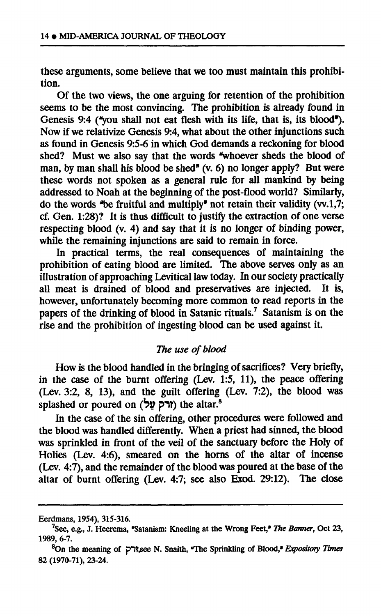**these arguments, some believe that we too must maintain this prohibition.** 

**Of the two views, the one arguing for retention of the prohibition seems to be the most convincing. The prohibition is already found in Genesis 9:4 ("you shall not eat flesh with its life, that is, its blood"). Now if we relativize Genesis 9:4, what about the other injunctions such as found in Genesis 9:5-6 in which God demands a reckoning for blood shed? Must we also say that the words "whoever sheds the blood of man, by man shall his blood be shed\* (v. 6) no longer apply? But were these words not spoken as a general rule for all mankind by being addressed to Noah at the beginning of the post-flood world? Similarly, do the words \*be fruitful and multiply" not retain their validity (w.1,7; cf. Gen. 1:28)? It is thus difficult to justify the extraction of one verse respecting blood (v. 4) and say that it is no longer of binding power, while the remaining injunctions are said to remain in force.** 

In practical terms, the real consequences of maintaining the **prohibition of eating blood are limited. The above serves only as an illustration of approaching Levitical law today. In our society practically all meat is drained of blood and preservatives are injected. It is, however, unfortunately becoming more common to read reports in the papers of the drinking of blood in Satanic rituals.<sup>7</sup> Satanism is on the rise and the prohibition of ingesting blood can be used against it.** 

# *The use of blood*

**How is the blood handled in the bringing of sacrifices? Very briefly, in the case of the burnt offering (Lev. 1:5, 11), the peace offering (Lev. 3:2, 8, 13), and the guilt offering (Lev. 7:2), the blood was splashed or poured on** *(bv* **pit) the altar.<sup>8</sup>**

**In the case of the sin offering, other procedures were followed and the blood was handled differently. When a priest had sinned, the blood was sprinkled in front of the veil of the sanctuary before the Holy of Holies (Lev. 4:6), smeared on the horns of the altar of incense (Lev. 4:7), and the remainder of the blood was poured at the base of the altar of burnt offering (Lev. 4:7; see also Exod. 29:12). The close** 

**Eerdmans, 1954), 315-316.** 

<sup>&</sup>lt;sup>7</sup> See, e.g., J. Heerema, "Satanism: Kneeling at the Wrong Feet," *The Banner*, Oct 23, **1989, 6-7.** 

**<sup>8</sup>On the meaning of p\*1î,see N. Snaith, "The Sprinkling of Blood,\*** *Expository Times*  **82 (1970-71), 23-24.**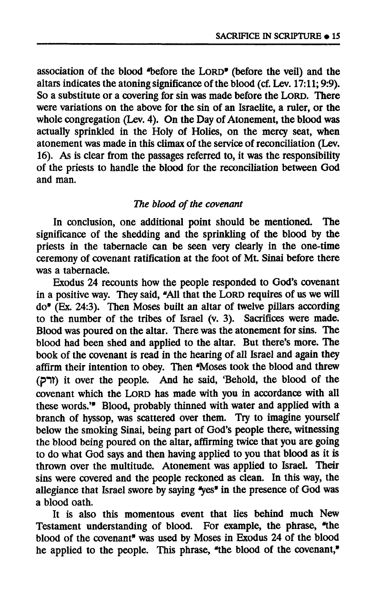**association of the blood "before the LORD" (before the veil) and the altars indicates the atoning significance of the blood (cf. Lev. 17:11; 9:9). So a substitute or a covering for sin was made before the LORD. There were variations on the above for the sin of an Israelite, a ruler, or the whole congregation (Lev. 4). On the Day of Atonement, the blood was actually sprinkled in the Holy of Holies, on the mercy seat, when atonement was made in this climax of the service of reconciliation (Lev. 16). As is clear from the passages referred to, it was the responsibility of the priests to handle the blood for the reconciliation between God and man.** 

### *The blood of the covenant*

**In conclusion, one additional point should be mentioned. The significance of the shedding and the sprinkling of the blood by the priests in the tabernacle can be seen very clearly in the one-time ceremony of covenant ratification at the foot of Mt. Sinai before there was a tabernacle.** 

**Exodus 24 recounts how the people responded to God's covenant in a positive way. They said, "All that the LORD requires of us we will do" (Ex. 24:3). Then Moses built an altar of twelve pillars according to the number of the tribes of Israel (v. 3). Sacrifices were made. Blood was poured on the altar. There was the atonement for sins. The blood had been shed and applied to the altar. But there's more. The book of the covenant is read in the hearing of all Israel and again they affirm their intention to obey. Then "Moses took the blood and threw (pit) it over the people. And he said, 'Behold, the blood of the covenant which the LORD has made with you in accordance with all these words."<sup>1</sup> Blood, probably thinned with water and applied with a branch of hyssop, was scattered over them. Try to imagine yourself below the smoking Sinai, being part of God's people there, witnessing the blood being poured on the altar, affirming twice that you are going to do what God says and then having applied to you that blood as it is thrown over the multitude. Atonement was applied to Israel. Their sins were covered and the people reckoned as clean. In this way, the allegiance that Israel swore by saying "yes" in the presence of God was a blood oath.** 

**It is also this momentous event that lies behind much New**  Testament understanding of blood. For example, the phrase, "the **blood of the covenant" was used by Moses in Exodus 24 of the blood he applied to the people. This phrase, "the blood of the covenant,"**